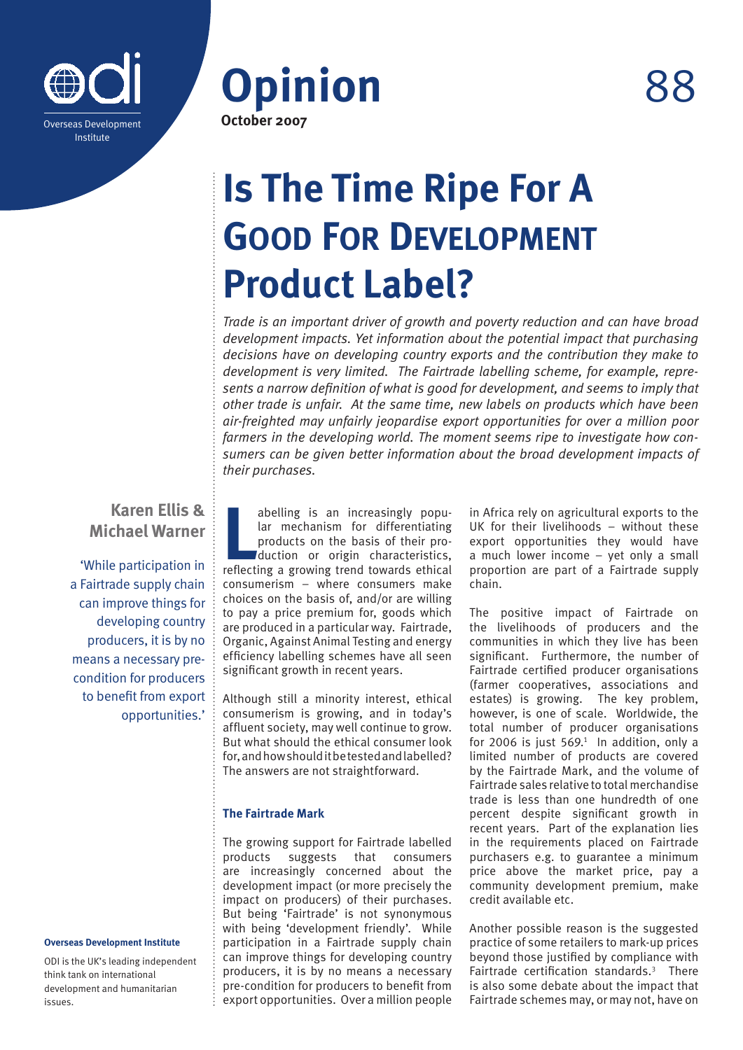



# **Is The Time Ripe For A GOOD FOR DEVELOPMENT Product Label?**

*Trade is an important driver of growth and poverty reduction and can have broad development impacts. Yet information about the potential impact that purchasing decisions have on developing country exports and the contribution they make to development is very limited. The Fairtrade labelling scheme, for example, represents a narrow definition of what is good for development, and seems to imply that other trade is unfair. At the same time, new labels on products which have been air-freighted may unfairly jeopardise export opportunities for over a million poor farmers in the developing world. The moment seems ripe to investigate how consumers can be given better information about the broad development impacts of their purchases.* 

# **Karen Ellis & Michael Warner**

'While participation in a Fairtrade supply chain can improve things for developing country producers, it is by no means a necessary precondition for producers to benefit from export opportunities.'

#### **Overseas Development Institute**

ODI is the UK's leading independent think tank on international development and humanitarian issues.

abelling is an increasingly popular mechanism for differentiating products on the basis of their production or origin characteristics, reflecting a growing trend towards ethical abelling is an increasingly popular mechanism for differentiating products on the basis of their production or origin characteristics, consumerism – where consumers make choices on the basis of, and/or are willing to pay a price premium for, goods which are produced in a particular way. Fairtrade, Organic, Against Animal Testing and energy efficiency labelling schemes have all seen significant growth in recent years.

Although still a minority interest, ethical consumerism is growing, and in today's affluent society, may well continue to grow. But what should the ethical consumer look for, and how should it be tested and labelled? The answers are not straightforward.

## **The Fairtrade Mark**

The growing support for Fairtrade labelled products suggests that consumers are increasingly concerned about the development impact (or more precisely the impact on producers) of their purchases. But being 'Fairtrade' is not synonymous with being 'development friendly'. While participation in a Fairtrade supply chain can improve things for developing country producers, it is by no means a necessary pre-condition for producers to benefit from export opportunities. Over a million people in Africa rely on agricultural exports to the UK for their livelihoods – without these export opportunities they would have a much lower income – yet only a small proportion are part of a Fairtrade supply chain.

The positive impact of Fairtrade on the livelihoods of producers and the communities in which they live has been significant. Furthermore, the number of Fairtrade certified producer organisations (farmer cooperatives, associations and estates) is growing. The key problem, however, is one of scale. Worldwide, the total number of producer organisations for 2006 is just  $569<sup>1</sup>$  In addition, only a limited number of products are covered by the Fairtrade Mark, and the volume of Fairtrade sales relative to total merchandise trade is less than one hundredth of one percent despite significant growth in recent years. Part of the explanation lies in the requirements placed on Fairtrade purchasers e.g. to guarantee a minimum price above the market price, pay a community development premium, make credit available etc.

Another possible reason is the suggested practice of some retailers to mark-up prices beyond those justified by compliance with Fairtrade certification standards.3 There is also some debate about the impact that Fairtrade schemes may, or may not, have on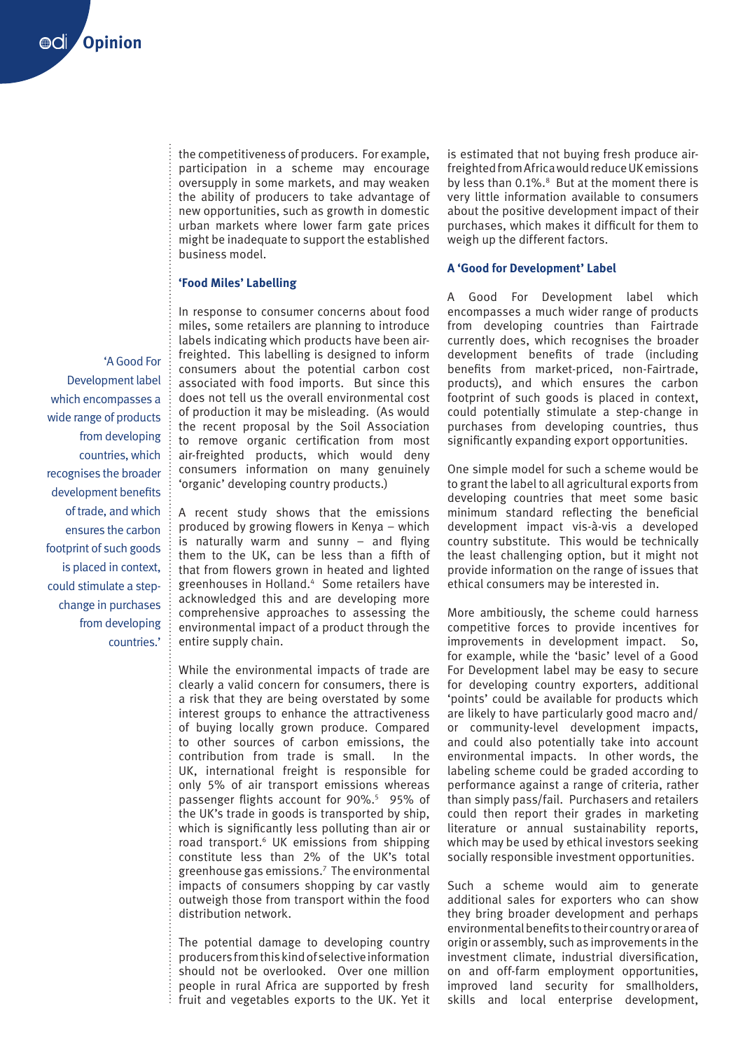the competitiveness of producers. For example, participation in a scheme may encourage oversupply in some markets, and may weaken the ability of producers to take advantage of new opportunities, such as growth in domestic urban markets where lower farm gate prices might be inadequate to support the established business model.

### **'Food Miles' Labelling**

In response to consumer concerns about food miles, some retailers are planning to introduce labels indicating which products have been airfreighted. This labelling is designed to inform consumers about the potential carbon cost associated with food imports. But since this does not tell us the overall environmental cost of production it may be misleading. (As would the recent proposal by the Soil Association to remove organic certification from most air-freighted products, which would deny consumers information on many genuinely 'organic' developing country products.)

A recent study shows that the emissions produced by growing flowers in Kenya – which is naturally warm and sunny – and flying them to the UK, can be less than a fifth of that from flowers grown in heated and lighted greenhouses in Holland.4 Some retailers have acknowledged this and are developing more comprehensive approaches to assessing the environmental impact of a product through the entire supply chain.

While the environmental impacts of trade are clearly a valid concern for consumers, there is a risk that they are being overstated by some interest groups to enhance the attractiveness of buying locally grown produce. Compared to other sources of carbon emissions, the contribution from trade is small. In the UK, international freight is responsible for only 5% of air transport emissions whereas passenger flights account for 90%.<sup>5</sup> 95% of the UK's trade in goods is transported by ship, which is significantly less polluting than air or road transport.<sup>6</sup> UK emissions from shipping constitute less than 2% of the UK's total greenhouse gas emissions.7 The environmental impacts of consumers shopping by car vastly outweigh those from transport within the food distribution network.

The potential damage to developing country producers from this kind of selective information should not be overlooked. Over one million people in rural Africa are supported by fresh fruit and vegetables exports to the UK. Yet it

is estimated that not buying fresh produce airfreighted from Africa would reduce UK emissions by less than 0.1%.<sup>8</sup> But at the moment there is very little information available to consumers about the positive development impact of their purchases, which makes it difficult for them to weigh up the different factors.

#### **A 'Good for Development' Label**

A Good For Development label which encompasses a much wider range of products from developing countries than Fairtrade currently does, which recognises the broader development benefits of trade (including benefits from market-priced, non-Fairtrade, products), and which ensures the carbon footprint of such goods is placed in context, could potentially stimulate a step-change in purchases from developing countries, thus significantly expanding export opportunities.

One simple model for such a scheme would be to grant the label to all agricultural exports from developing countries that meet some basic minimum standard reflecting the beneficial development impact vis-à-vis a developed country substitute. This would be technically the least challenging option, but it might not provide information on the range of issues that ethical consumers may be interested in.

More ambitiously, the scheme could harness competitive forces to provide incentives for improvements in development impact. So, for example, while the 'basic' level of a Good For Development label may be easy to secure for developing country exporters, additional 'points' could be available for products which are likely to have particularly good macro and/ or community-level development impacts, and could also potentially take into account environmental impacts. In other words, the labeling scheme could be graded according to performance against a range of criteria, rather than simply pass/fail. Purchasers and retailers could then report their grades in marketing literature or annual sustainability reports, which may be used by ethical investors seeking socially responsible investment opportunities.

Such a scheme would aim to generate additional sales for exporters who can show they bring broader development and perhaps environmental benefits to their country or area of origin or assembly, such as improvements in the investment climate, industrial diversification, on and off-farm employment opportunities, improved land security for smallholders, skills and local enterprise development,

'A Good For Development label which encompasses a wide range of products from developing countries, which recognises the broader development benefits of trade, and which ensures the carbon footprint of such goods is placed in context, could stimulate a stepchange in purchases from developing countries.'